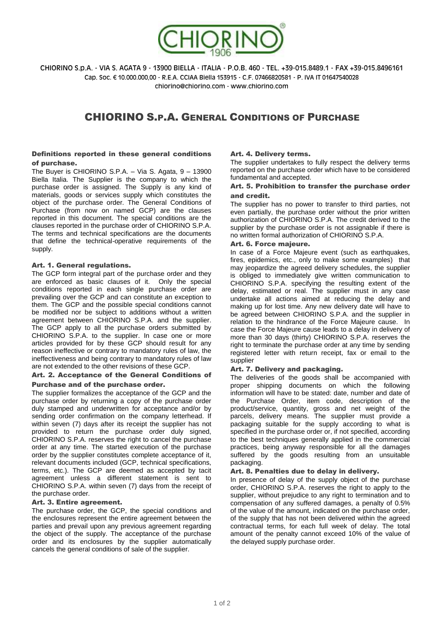

CHIORINO S.p.A. - VIA S. AGATA 9 - 13900 BIELLA - ITALIA - P.O.B. 460 - TEL. +39-015.8489.1 - FAX +39-015.8496161 Cap. Soc. € 10.000.000,00 - R.E.A. CCIAA Biella 153915 - C.F. 07466820581 - P. IVA IT 01647540028 chiorino@chiorino.com - www.chiorino.com

# CHIORINO S.P.A. GENERAL CONDITIONS OF PURCHASE

## Definitions reported in these general conditions of purchase.

The Buyer is CHIORINO S.P.A. – Via S. Agata, 9 – 13900 Biella Italia. The Supplier is the company to which the purchase order is assigned. The Supply is any kind of materials, goods or services supply which constitutes the object of the purchase order. The General Conditions of Purchase (from now on named GCP) are the clauses reported in this document. The special conditions are the clauses reported in the purchase order of CHIORINO S.P.A. The terms and technical specifications are the documents that define the technical-operative requirements of the supply.

## Art. 1. General regulations.

The GCP form integral part of the purchase order and they are enforced as basic clauses of it. Only the special conditions reported in each single purchase order are prevailing over the GCP and can constitute an exception to them. The GCP and the possible special conditions cannot be modified nor be subject to additions without a written agreement between CHIORINO S.P.A. and the supplier. The GCP apply to all the purchase orders submitted by CHIORINO S.P.A. to the supplier. In case one or more articles provided for by these GCP should result for any reason ineffective or contrary to mandatory rules of law, the ineffectiveness and being contrary to mandatory rules of law are not extended to the other revisions of these GCP.

# Art. 2. Acceptance of the General Conditions of Purchase and of the purchase order.

The supplier formalizes the acceptance of the GCP and the purchase order by returning a copy of the purchase order duly stamped and underwritten for acceptance and/or by sending order confirmation on the company letterhead. If within seven (7) days after its receipt the supplier has not provided to return the purchase order duly signed, CHIORINO S.P.A. reserves the right to cancel the purchase order at any time. The started execution of the purchase order by the supplier constitutes complete acceptance of it, relevant documents included (GCP, technical specifications, terms, etc.). The GCP are deemed as accepted by tacit agreement unless a different statement is sent to CHIORINO S.P.A. within seven (7) days from the receipt of the purchase order.

#### Art. 3. Entire agreement.

The purchase order, the GCP, the special conditions and the enclosures represent the entire agreement between the parties and prevail upon any previous agreement regarding the object of the supply. The acceptance of the purchase order and its enclosures by the supplier automatically cancels the general conditions of sale of the supplier.

# Art. 4. Delivery terms.

The supplier undertakes to fully respect the delivery terms reported on the purchase order which have to be considered fundamental and accepted.

# Art. 5. Prohibition to transfer the purchase order and credit.

The supplier has no power to transfer to third parties, not even partially, the purchase order without the prior written authorization of CHIORINO S.P.A. The credit derived to the supplier by the purchase order is not assignable if there is no written formal authorization of CHIORINO S.P.A.

## Art. 6. Force majeure.

In case of a Force Majeure event (such as earthquakes, fires, epidemics, etc., only to make some examples) that may jeopardize the agreed delivery schedules, the supplier is obliged to immediately give written communication to CHIORINO S.P.A. specifying the resulting extent of the delay, estimated or real. The supplier must in any case undertake all actions aimed at reducing the delay and making up for lost time. Any new delivery date will have to be agreed between CHIORINO S.P.A. and the supplier in relation to the hindrance of the Force Majeure cause. In case the Force Majeure cause leads to a delay in delivery of more than 30 days (thirty) CHIORINO S.P.A. reserves the right to terminate the purchase order at any time by sending registered letter with return receipt, fax or email to the supplier

# Art. 7. Delivery and packaging.

The deliveries of the goods shall be accompanied with proper shipping documents on which the following information will have to be stated: date, number and date of the Purchase Order, item code, description of the product/service, quantity, gross and net weight of the parcels, delivery means. The supplier must provide a packaging suitable for the supply according to what is specified in the purchase order or, if not specified, according to the best techniques generally applied in the commercial practices, being anyway responsible for all the damages suffered by the goods resulting from an unsuitable packaging.

#### Art. 8. Penalties due to delay in delivery.

In presence of delay of the supply object of the purchase order, CHIORINO S.P.A. reserves the right to apply to the supplier, without prejudice to any right to termination and to compensation of any suffered damages, a penalty of 0.5% of the value of the amount, indicated on the purchase order, of the supply that has not been delivered within the agreed contractual terms, for each full week of delay. The total amount of the penalty cannot exceed 10% of the value of the delayed supply purchase order.